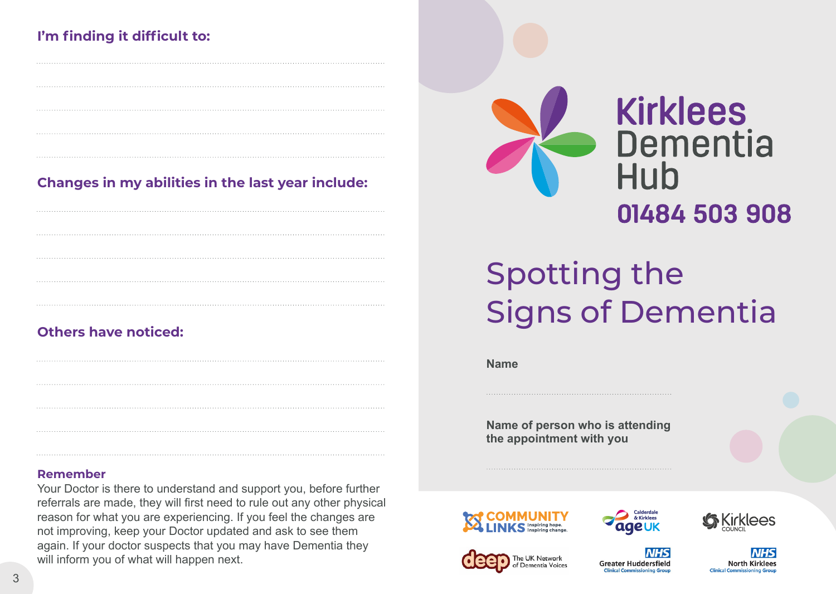### **I'm finding it difficult to:**

**Changes in my abilities in the last year include:**

### **Others have noticed:**

#### **Remember**

Your Doctor is there to understand and support you, before further referrals are made, they will first need to rule out any other physical reason for what you are experiencing. If you feel the changes are not improving, keep your Doctor updated and ask to see them again. If your doctor suspects that you may have Dementia they will inform you of what will happen next.



# Spotting the Signs of Dementia

**Name**

**Name of person who is attending the appointment with you**



JK Network

Dementia Voices



**Greater Huddersfield** 



**North Kirklees Clinical Con**